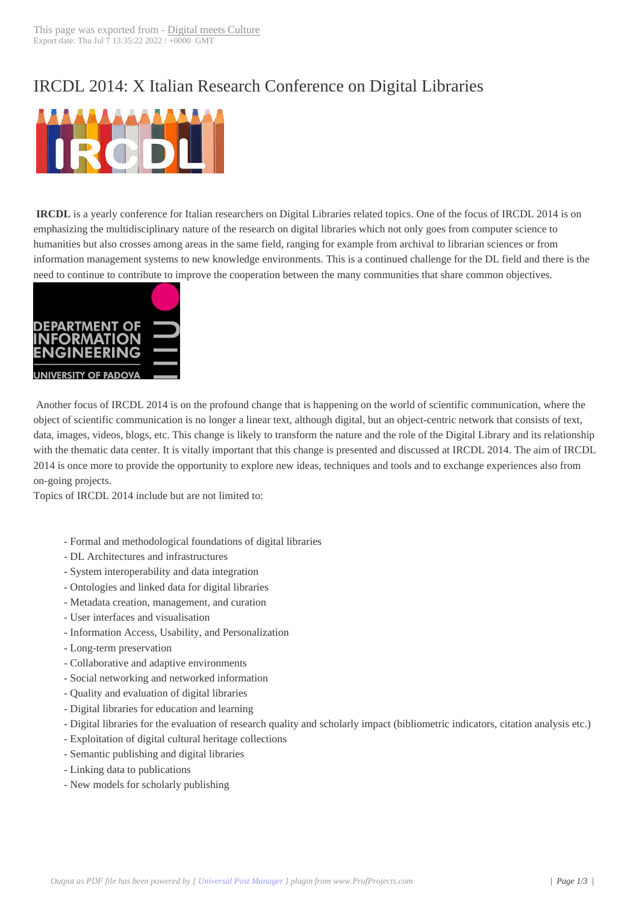## IRCDL 2014: X It[alian Research](http://www.digitalmeetsculture.net/?p=20918) Conference on Digital Libraries



**IRCDL** is a yearly conference for Italian researchers on Digital Libraries related topics. One of the focus of IRCDL 2014 is on emphasizing the multidisciplinary nature of the research on digital libraries which not only goes from computer science to humanities but also crosses among areas in the same field, ranging for example from archival to librarian sciences or from information management systems to new knowledge environments. This is a continued challenge for the DL field and there is the need to continue to contribute to improve the cooperation between the many communities that share common objectives.



 Another focus of IRCDL 2014 is on the profound change that is happening on the world of scientific communication, where the object of scientific communication is no longer a linear text, although digital, but an object-centric network that consists of text, data, images, videos, blogs, etc. This change is likely to transform the nature and the role of the Digital Library and its relationship with the thematic data center. It is vitally important that this change is presented and discussed at IRCDL 2014. The aim of IRCDL 2014 is once more to provide the opportunity to explore new ideas, techniques and tools and to exchange experiences also from on-going projects.

Topics of IRCDL 2014 include but are not limited to:

- Formal and methodological foundations of digital libraries
- DL Architectures and infrastructures
- System interoperability and data integration
- Ontologies and linked data for digital libraries
- Metadata creation, management, and curation
- User interfaces and visualisation
- Information Access, Usability, and Personalization
- Long-term preservation
- Collaborative and adaptive environments
- Social networking and networked information
- Quality and evaluation of digital libraries
- Digital libraries for education and learning
- Digital libraries for the evaluation of research quality and scholarly impact (bibliometric indicators, citation analysis etc.)
- Exploitation of digital cultural heritage collections
- Semantic publishing and digital libraries
- Linking data to publications
- New models for scholarly publishing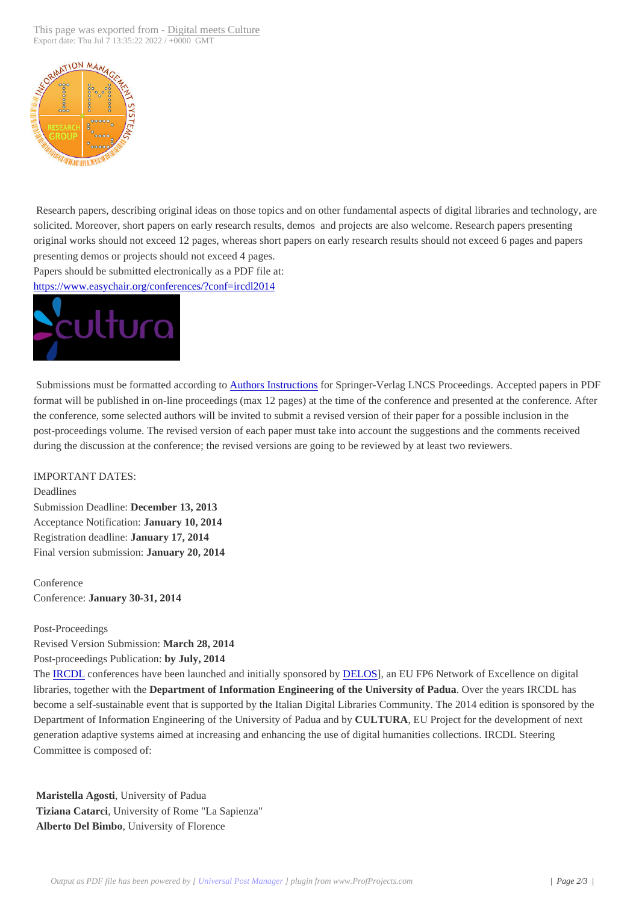

 Research papers, describing original ideas on those topics and on other fundamental aspects of digital libraries and technology, are solicited. Moreover, short papers on early research results, demos and projects are also welcome. Research papers presenting original works should not exceed 12 pages, whereas short papers on early research results should not exceed 6 pages and papers presenting demos or projects should not exceed 4 pages. Papers should be submitted electronically as a PDF file at:

https://www.easychair.org/conferences/?conf=ircdl2014



 Submissions must be formatted according to Authors Instructions for Springer-Verlag LNCS Proceedings. Accepted papers in PDF format will be published in on-line proceedings (max 12 pages) at the time of the conference and presented at the conference. After the conference, some selected authors will be invited to submit a revised version of their paper for a possible inclusion in the post-proceedings volume. The revised version of each paper must take into account the suggestions and the comments received during the discussion at the conference; the r[evised versions are go](http://www.springer.de/comp/lncs/authors.html)ing to be reviewed by at least two reviewers.

IMPORTANT DATES:

Deadlines Submission Deadline: **December 13, 2013** Acceptance Notification: **January 10, 2014** Registration deadline: **January 17, 2014** Final version submission: **January 20, 2014**

Conference Conference: **January 30-31, 2014**

Post-Proceedings

Revised Version Submission: **March 28, 2014**

Post-proceedings Publication: **by July, 2014**

The IRCDL conferences have been launched and initially sponsored by DELOS], an EU FP6 Network of Excellence on digital libraries, together with the **Department of Information Engineering of the University of Padua**. Over the years IRCDL has become a self-sustainable event that is supported by the Italian Digital Libraries Community. The 2014 edition is sponsored by the Department of Information Engineering of the University of Padua and by **CULTURA**, EU Project for the development of next gen[eration a](http://ims.dei.unipd.it/ircdl/home.html)daptive systems aimed at increasing and enhancing the use [of digital](http://www.delos.info/) humanities collections. IRCDL Steering Committee is composed of:

**Maristella Agosti**, University of Padua **Tiziana Catarci**, University of Rome "La Sapienza" **Alberto Del Bimbo**, University of Florence